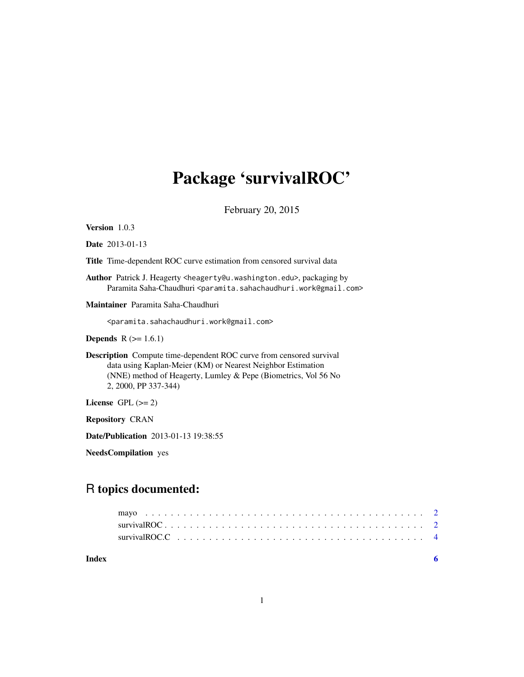# Package 'survivalROC'

February 20, 2015

Version 1.0.3

Date 2013-01-13

Title Time-dependent ROC curve estimation from censored survival data

Author Patrick J. Heagerty <heagerty@u.washington.edu>, packaging by Paramita Saha-Chaudhuri <paramita.sahachaudhuri.work@gmail.com>

Maintainer Paramita Saha-Chaudhuri

<paramita.sahachaudhuri.work@gmail.com>

**Depends**  $R$  ( $>= 1.6.1$ )

Description Compute time-dependent ROC curve from censored survival data using Kaplan-Meier (KM) or Nearest Neighbor Estimation (NNE) method of Heagerty, Lumley & Pepe (Biometrics, Vol 56 No 2, 2000, PP 337-344)

License GPL  $(>= 2)$ 

Repository CRAN

Date/Publication 2013-01-13 19:38:55

NeedsCompilation yes

### R topics documented:

**Index** [6](#page-5-0) **6**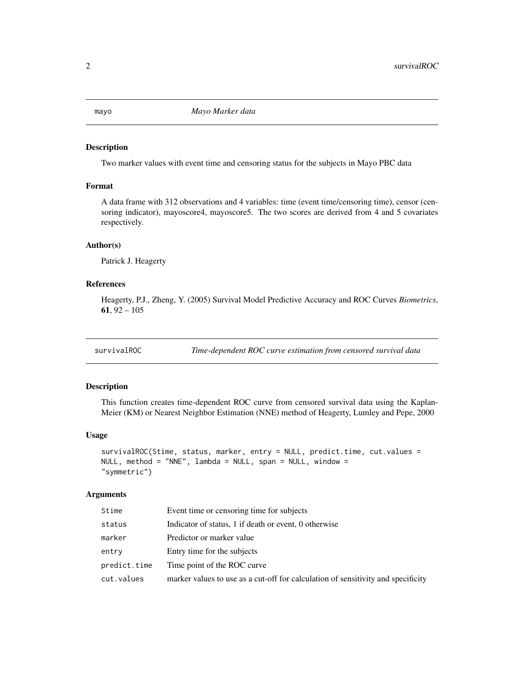#### Description

Two marker values with event time and censoring status for the subjects in Mayo PBC data

#### Format

A data frame with 312 observations and 4 variables: time (event time/censoring time), censor (censoring indicator), mayoscore4, mayoscore5. The two scores are derived from 4 and 5 covariates respectively.

#### Author(s)

Patrick J. Heagerty

#### References

Heagerty, P.J., Zheng, Y. (2005) Survival Model Predictive Accuracy and ROC Curves *Biometrics*, 61,  $92 - 105$ 

survivalROC *Time-dependent ROC curve estimation from censored survival data*

#### Description

This function creates time-dependent ROC curve from censored survival data using the Kaplan-Meier (KM) or Nearest Neighbor Estimation (NNE) method of Heagerty, Lumley and Pepe, 2000

#### Usage

```
survivalROC(Stime, status, marker, entry = NULL, predict.time, cut.values =
NULL, method = "NNE", lambda = NULL, span = NULL, window =
"symmetric")
```
#### **Arguments**

| Stime        | Event time or censoring time for subjects                                        |
|--------------|----------------------------------------------------------------------------------|
| status       | Indicator of status, 1 if death or event, 0 otherwise                            |
| marker       | Predictor or marker value                                                        |
| entry        | Entry time for the subjects                                                      |
| predict.time | Time point of the ROC curve                                                      |
| cut.values   | marker values to use as a cut-off for calculation of sensitivity and specificity |

<span id="page-1-0"></span>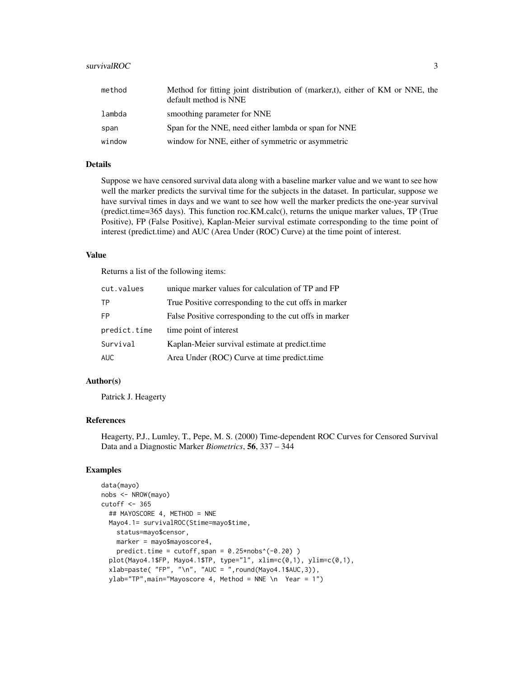#### survivalROC 3

| method | Method for fitting joint distribution of (marker,t), either of KM or NNE, the<br>default method is NNE |
|--------|--------------------------------------------------------------------------------------------------------|
| lambda | smoothing parameter for NNE                                                                            |
| span   | Span for the NNE, need either lambda or span for NNE                                                   |
| window | window for NNE, either of symmetric or asymmetric                                                      |

#### Details

Suppose we have censored survival data along with a baseline marker value and we want to see how well the marker predicts the survival time for the subjects in the dataset. In particular, suppose we have survival times in days and we want to see how well the marker predicts the one-year survival (predict.time=365 days). This function roc.KM.calc(), returns the unique marker values, TP (True Positive), FP (False Positive), Kaplan-Meier survival estimate corresponding to the time point of interest (predict.time) and AUC (Area Under (ROC) Curve) at the time point of interest.

#### Value

Returns a list of the following items:

| cut.values   | unique marker values for calculation of TP and FP      |
|--------------|--------------------------------------------------------|
| TP.          | True Positive corresponding to the cut offs in marker  |
| <b>FP</b>    | False Positive corresponding to the cut offs in marker |
| predict.time | time point of interest                                 |
| Survival     | Kaplan-Meier survival estimate at predict.time         |
| <b>AUC</b>   | Area Under (ROC) Curve at time predict.time            |

#### Author(s)

Patrick J. Heagerty

#### References

Heagerty, P.J., Lumley, T., Pepe, M. S. (2000) Time-dependent ROC Curves for Censored Survival Data and a Diagnostic Marker *Biometrics*, 56, 337 – 344

#### Examples

```
data(mayo)
nobs <- NROW(mayo)
cutoff <- 365
  ## MAYOSCORE 4, METHOD = NNE
  Mayo4.1= survivalROC(Stime=mayo$time,
    status=mayo$censor,
   marker = mayo$mayoscore4,
    predict.time = cutoff,span = 0.25*nobs<sup>(-0.20)</sup>)
  plot(Mayo4.1$FP, Mayo4.1$TP, type="l", xlim=c(0,1), ylim=c(0,1),
  xlab=paste( "FP", "\n", "AUC = ",round(Mayo4.1$AUC,3)),
  ylab="TP",main="Mayoscore 4, Method = NNE \n Year = 1")
```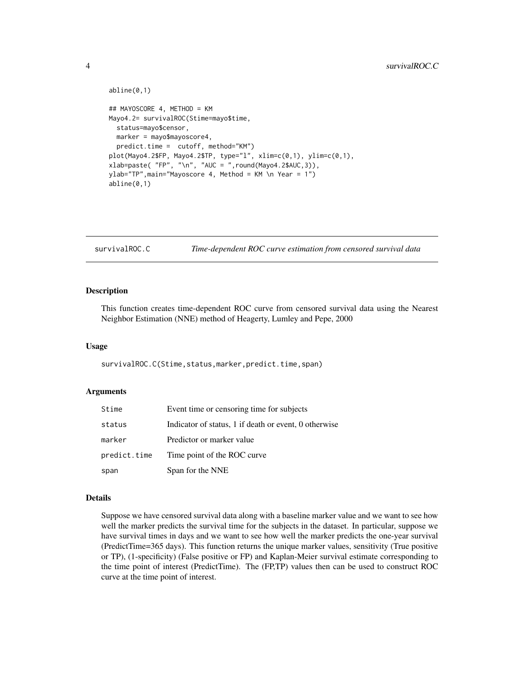```
abline(0,1)
## MAYOSCORE 4, METHOD = KM
Mayo4.2= survivalROC(Stime=mayo$time,
  status=mayo$censor,
 marker = mayo$mayoscore4,
  predict.time = cutoff, method="KM")
plot(Mayo4.2$FP, Mayo4.2$TP, type="l", xlim=c(0,1), ylim=c(0,1),
xlab=paste( "FP", "\n", "AUC = ",round(Mayo4.2$AUC,3)),
ylab="TP",main="Mayoscore 4, Method = KM \n Year = 1")
abline(0,1)
```
survivalROC.C *Time-dependent ROC curve estimation from censored survival data*

#### Description

This function creates time-dependent ROC curve from censored survival data using the Nearest Neighbor Estimation (NNE) method of Heagerty, Lumley and Pepe, 2000

#### Usage

survivalROC.C(Stime,status,marker,predict.time,span)

#### Arguments

| Stime        | Event time or censoring time for subjects             |
|--------------|-------------------------------------------------------|
| status       | Indicator of status, 1 if death or event, 0 otherwise |
| marker       | Predictor or marker value                             |
| predict.time | Time point of the ROC curve.                          |
| span         | Span for the NNE                                      |

#### Details

Suppose we have censored survival data along with a baseline marker value and we want to see how well the marker predicts the survival time for the subjects in the dataset. In particular, suppose we have survival times in days and we want to see how well the marker predicts the one-year survival (PredictTime=365 days). This function returns the unique marker values, sensitivity (True positive or TP), (1-specificity) (False positive or FP) and Kaplan-Meier survival estimate corresponding to the time point of interest (PredictTime). The (FP,TP) values then can be used to construct ROC curve at the time point of interest.

<span id="page-3-0"></span>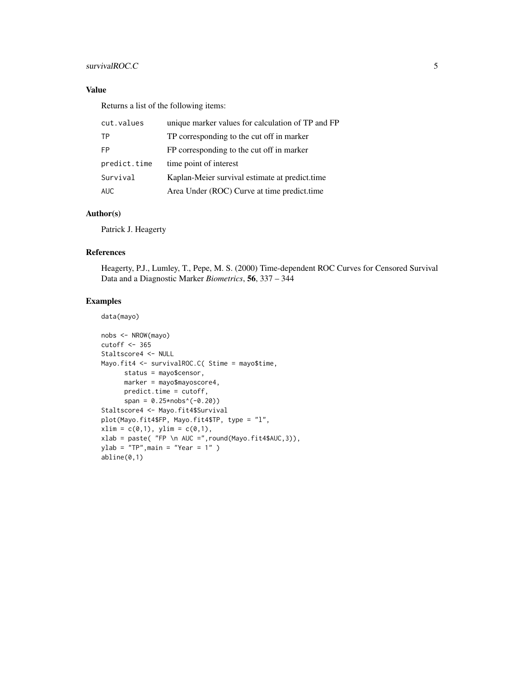#### survivalROC.C 5

#### Value

Returns a list of the following items:

| cut.values   | unique marker values for calculation of TP and FP |
|--------------|---------------------------------------------------|
| TP           | TP corresponding to the cut off in marker         |
| FP.          | FP corresponding to the cut off in marker         |
| predict.time | time point of interest                            |
| Survival     | Kaplan-Meier survival estimate at predict.time    |
| <b>AUC</b>   | Area Under (ROC) Curve at time predict.time       |

#### Author(s)

Patrick J. Heagerty

#### References

Heagerty, P.J., Lumley, T., Pepe, M. S. (2000) Time-dependent ROC Curves for Censored Survival Data and a Diagnostic Marker *Biometrics*, 56, 337 – 344

#### Examples

#### data(mayo)

```
nobs <- NROW(mayo)
cutoff <- 365
Staltscore4 <- NULL
Mayo.fit4 <- survivalROC.C( Stime = mayo$time,
     status = mayo$censor,
     marker = mayo$mayoscore4,
     predict.time = cutoff,
      span = 0.25*nobs^(0.20)Staltscore4 <- Mayo.fit4$Survival
plot(Mayo.fit4$FP, Mayo.fit4$TP, type = "l",
xlim = c(0,1), ylim = c(0,1),xlab = paste( "FP \n AUC =",round(Mayo.fit4$AUC,3)),
ylab = "TP", main = "Year = 1" )abline(0,1)
```